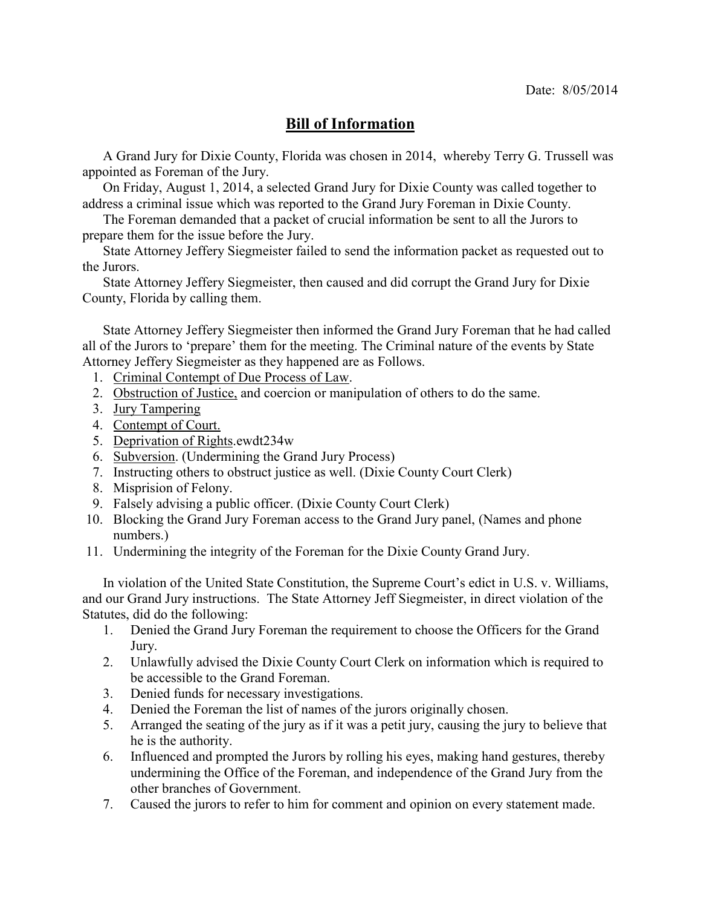## **Bill of Information**

A Grand Jury for Dixie County, Florida was chosen in 2014, whereby Terry G. Trussell was appointed as Foreman of the Jury.

On Friday, August 1, 2014, a selected Grand Jury for Dixie County was called together to address a criminal issue which was reported to the Grand Jury Foreman in Dixie County.

The Foreman demanded that a packet of crucial information be sent to all the Jurors to prepare them for the issue before the Jury.

State Attorney Jeffery Siegmeister failed to send the information packet as requested out to the Jurors.

State Attorney Jeffery Siegmeister, then caused and did corrupt the Grand Jury for Dixie County, Florida by calling them.

State Attorney Jeffery Siegmeister then informed the Grand Jury Foreman that he had called all of the Jurors to 'prepare' them for the meeting. The Criminal nature of the events by State Attorney Jeffery Siegmeister as they happened are as Follows.

- 1. Criminal Contempt of Due Process of Law.
- 2. Obstruction of Justice, and coercion or manipulation of others to do the same.
- 3. Jury Tampering
- 4. Contempt of Court.
- 5. Deprivation of Rights.ewdt234w
- 6. Subversion. (Undermining the Grand Jury Process)
- 7. Instructing others to obstruct justice as well. (Dixie County Court Clerk)
- 8. Misprision of Felony.
- 9. Falsely advising a public officer. (Dixie County Court Clerk)
- 10. Blocking the Grand Jury Foreman access to the Grand Jury panel, (Names and phone numbers.)
- 11. Undermining the integrity of the Foreman for the Dixie County Grand Jury.

In violation of the United State Constitution, the Supreme Court's edict in U.S. v. Williams, and our Grand Jury instructions. The State Attorney Jeff Siegmeister, in direct violation of the Statutes, did do the following:

- 1. Denied the Grand Jury Foreman the requirement to choose the Officers for the Grand Jury.
- 2. Unlawfully advised the Dixie County Court Clerk on information which is required to be accessible to the Grand Foreman.
- 3. Denied funds for necessary investigations.
- 4. Denied the Foreman the list of names of the jurors originally chosen.
- 5. Arranged the seating of the jury as if it was a petit jury, causing the jury to believe that he is the authority.
- 6. Influenced and prompted the Jurors by rolling his eyes, making hand gestures, thereby undermining the Office of the Foreman, and independence of the Grand Jury from the other branches of Government.
- 7. Caused the jurors to refer to him for comment and opinion on every statement made.